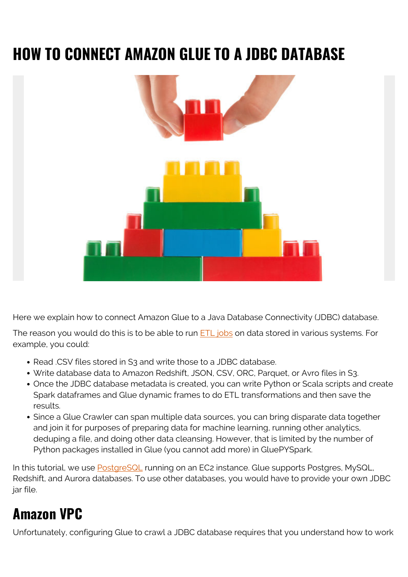# **HOW TO CONNECT AMAZON GLUE TO A JDBC DATABASE**



Here we explain how to connect Amazon Glue to a Java Database Connectivity (JDBC) database.

The reason you would do this is to be able to run [ETL jobs](https://blogs.bmc.com/blogs/aws-glue-etl-transformations/) on data stored in various systems. For example, you could:

- Read .CSV files stored in S3 and write those to a JDBC database.
- Write database data to Amazon Redshift, JSON, CSV, ORC, Parquet, or Avro files in S3.
- Once the JDBC database metadata is created, you can write Python or Scala scripts and create Spark dataframes and Glue dynamic frames to do ETL transformations and then save the results.
- Since a Glue Crawler can span multiple data sources, you can bring disparate data together and join it for purposes of preparing data for machine learning, running other analytics, deduping a file, and doing other data cleansing. However, that is limited by the number of Python packages installed in Glue (you cannot add more) in GluePYSpark.

In this tutorial, we use **[PostgreSQL](https://blogs.bmc.com/blogs/mongodb-vs-postgresql/)** running on an EC2 instance. Glue supports Postgres, MySQL, Redshift, and Aurora databases. To use other databases, you would have to provide your own JDBC jar file.

### **Amazon VPC**

Unfortunately, configuring Glue to crawl a JDBC database requires that you understand how to work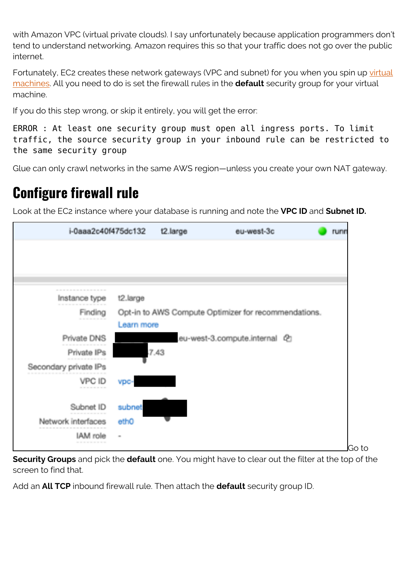with Amazon VPC (virtual private clouds). I say unfortunately because application programmers don't tend to understand networking. Amazon requires this so that your traffic does not go over the public internet.

Fortunately, EC2 creates these network gateways (VPC and subnet) for you when you spin up [virtual](https://blogs.bmc.com/blogs/containers-vs-virtual-machines/) [machines](https://blogs.bmc.com/blogs/containers-vs-virtual-machines/). All you need to do is set the firewall rules in the **default** security group for your virtual machine.

If you do this step wrong, or skip it entirely, you will get the error:

ERROR : At least one security group must open all ingress ports. To limit traffic, the source security group in your inbound rule can be restricted to the same security group

Glue can only crawl networks in the same AWS region—unless you create your own NAT gateway.

#### **Configure firewall rule**

Look at the EC2 instance where your database is running and note the **VPC ID** and **Subnet ID.**

| .<br>t2.large<br>Instance type<br>Opt-in to AWS Compute Optimizer for recommendations.<br>Finding<br>---------<br>Learn more<br>Private DNS<br>eu-west-3.compute.internal @<br>7.43<br>Private IPs<br>Secondary private IPs<br>VPC ID<br>vpc-<br>------------<br>Subnet ID<br>subnet<br>Network interfaces<br>ethO | runn |
|--------------------------------------------------------------------------------------------------------------------------------------------------------------------------------------------------------------------------------------------------------------------------------------------------------------------|------|
|                                                                                                                                                                                                                                                                                                                    |      |
|                                                                                                                                                                                                                                                                                                                    |      |
|                                                                                                                                                                                                                                                                                                                    |      |
|                                                                                                                                                                                                                                                                                                                    |      |
|                                                                                                                                                                                                                                                                                                                    |      |
|                                                                                                                                                                                                                                                                                                                    |      |
|                                                                                                                                                                                                                                                                                                                    |      |
|                                                                                                                                                                                                                                                                                                                    |      |
|                                                                                                                                                                                                                                                                                                                    |      |
|                                                                                                                                                                                                                                                                                                                    |      |
|                                                                                                                                                                                                                                                                                                                    |      |
|                                                                                                                                                                                                                                                                                                                    |      |
|                                                                                                                                                                                                                                                                                                                    |      |
| IAM role<br>$\scriptstyle\rm m$<br>----------                                                                                                                                                                                                                                                                      |      |

**Security Groups** and pick the **default** one. You might have to clear out the filter at the top of the screen to find that.

Add an **All TCP** inbound firewall rule. Then attach the **default** security group ID.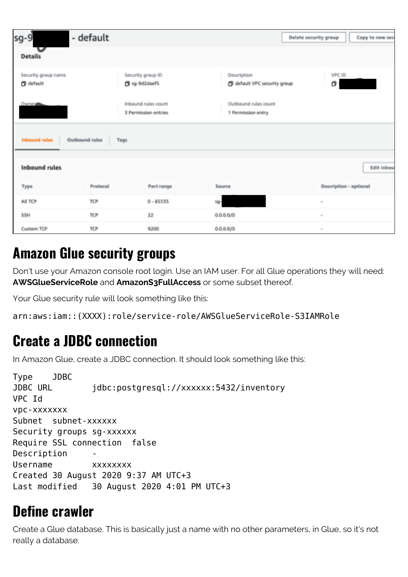| $sg-9$                                  | - default                     |                                             |                                            | Delete security group<br>Copy to new sec |
|-----------------------------------------|-------------------------------|---------------------------------------------|--------------------------------------------|------------------------------------------|
| <b>Details</b>                          |                               |                                             |                                            |                                          |
| Security group name<br><b>B</b> default |                               | Security group ID<br>g sg-9d2daef5          | Description<br>default VPC security group  | VPC ID<br>σ                              |
| Owner                                   |                               | Inbound rules count<br>3 Permission entries | Outbound rules count<br>1 Permission entry |                                          |
| <b>Inbound rules</b>                    | <b>Outbound rules</b><br>Tags |                                             |                                            |                                          |
| <b>Inbound rules</b>                    |                               |                                             |                                            | Edit inbou                               |
| Type                                    | Protocol                      | Port range                                  | Source                                     | Description - optional                   |
| All TCP                                 | TCP                           | $0 - 65535$                                 | sg-                                        | $\scriptstyle\rm m$                      |
| <b>SSH</b>                              | TCP                           | 22                                          | 0.0.0.0 / 0                                | $\sim$                                   |
| Custom TCP                              | TCP                           | 9200                                        | 0.0.0.0 / 0                                | $\scriptstyle\rm{m}$                     |

#### **Amazon Glue security groups**

Don't use your Amazon console root login. Use an IAM user. For all Glue operations they will need: **AWSGlueServiceRole** and **AmazonS3FullAccess** or some subset thereof.

Your Glue security rule will look something like this:

arn:aws:iam::(XXXX):role/service-role/AWSGlueServiceRole-S3IAMRole

#### **Create a JDBC connection**

In Amazon Glue, create a JDBC connection. It should look something like this:

Type JDBC JDBC URL jdbc:postgresql://xxxxxx:5432/inventory VPC Id vpc-xxxxxxx Subnet subnet-xxxxxx Security groups sg-xxxxxx Require SSL connection false Description Username xxxxxxxx Created 30 August 2020 9:37 AM UTC+3 Last modified 30 August 2020 4:01 PM UTC+3

#### **Define crawler**

Create a Glue database. This is basically just a name with no other parameters, in Glue, so it's not really a database.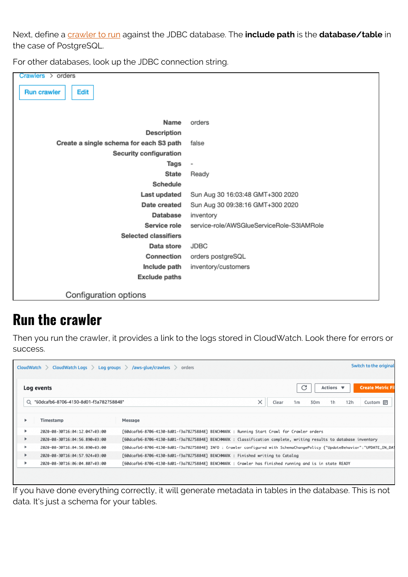Next, define a [crawler to run](https://blogs.bmc.com/blogs/amazon-glue-crawler/) against the JDBC database. The **include path** is the **database/table** in the case of PostgreSQL.

For other databases, look up the JDBC connection string.

| Crawlers > orders                       |                                           |
|-----------------------------------------|-------------------------------------------|
|                                         |                                           |
| Edit<br><b>Run crawler</b>              |                                           |
|                                         |                                           |
|                                         |                                           |
| Name                                    | orders                                    |
| Description                             |                                           |
| Create a single schema for each S3 path | false                                     |
| Security configuration                  |                                           |
| Tags                                    | $\qquad \qquad \blacksquare$              |
| <b>State</b>                            | Ready                                     |
| Schedule                                |                                           |
| Last updated                            | Sun Aug 30 16:03:48 GMT+300 2020          |
| Date created                            | Sun Aug 30 09:38:16 GMT+300 2020          |
| Database                                | inventory                                 |
| Service role                            | service-role/AWSGlueServiceRole-S3IAMRole |
| <b>Selected classifiers</b>             |                                           |
| Data store                              | JDBC                                      |
| Connection                              | orders postgreSQL                         |
| Include path                            | inventory/customers                       |
| <b>Exclude paths</b>                    |                                           |
|                                         |                                           |
| Configuration options                   |                                           |

#### **Run the crawler**

Then you run the crawler, it provides a link to the logs stored in CloudWatch. Look there for errors or success.

| Switch to the original<br>CloudWatch Logs > Log groups > /aws-glue/crawlers > orders<br>CloudWatch > |                                          |                                                                                                                           |  |  |  |  |  |
|------------------------------------------------------------------------------------------------------|------------------------------------------|---------------------------------------------------------------------------------------------------------------------------|--|--|--|--|--|
|                                                                                                      | Log events                               | C<br>Actions $\blacktriangledown$<br><b>Create Metric Fil</b>                                                             |  |  |  |  |  |
|                                                                                                      | Q "60dcafb6-8706-4130-8d01-f3a782758848" | ×<br>12h<br>1 <sub>h</sub><br>Clear<br>1 <sub>m</sub><br>Custom <b>I</b><br>30m                                           |  |  |  |  |  |
| ٠                                                                                                    | Timestamp                                | Message                                                                                                                   |  |  |  |  |  |
|                                                                                                      | 2020-08-30T16:04:12.047+03:00            | [60dcafb6-8706-4130-8d01-f3a782758848] BENCHMARK : Running Start Crawl for Crawler orders                                 |  |  |  |  |  |
|                                                                                                      | 2020-08-30T16:04:56.890+03:00            | [60dcafb6-8706-4130-8d01-f3a782758848] BENCHMARK : Classification complete, writing results to database inventory         |  |  |  |  |  |
| ٠                                                                                                    | 2020-08-30T16:04:56.890+03:00            | [60dcafb6-8706-4130-8d01-f3a782758848] INFO : Crawler configured with SchemaChangePolicy {"UpdateBehavior":"UPDATE_IN_DAT |  |  |  |  |  |
|                                                                                                      | 2020-08-30T16:04:57.924+03:00            | [60dcafb6-8706-4130-8d01-f3a782758848] BENCHMARK : Finished writing to Catalog                                            |  |  |  |  |  |
| ▸                                                                                                    | 2020-08-30T16:06:04.807+03:00            | [60dcafb6-8706-4130-8d01-f3a782758848] BENCHMARK : Crawler has finished running and is in state READY                     |  |  |  |  |  |
|                                                                                                      |                                          |                                                                                                                           |  |  |  |  |  |
|                                                                                                      |                                          |                                                                                                                           |  |  |  |  |  |

If you have done everything correctly, it will generate metadata in tables in the database. This is not data. It's just a schema for your tables.